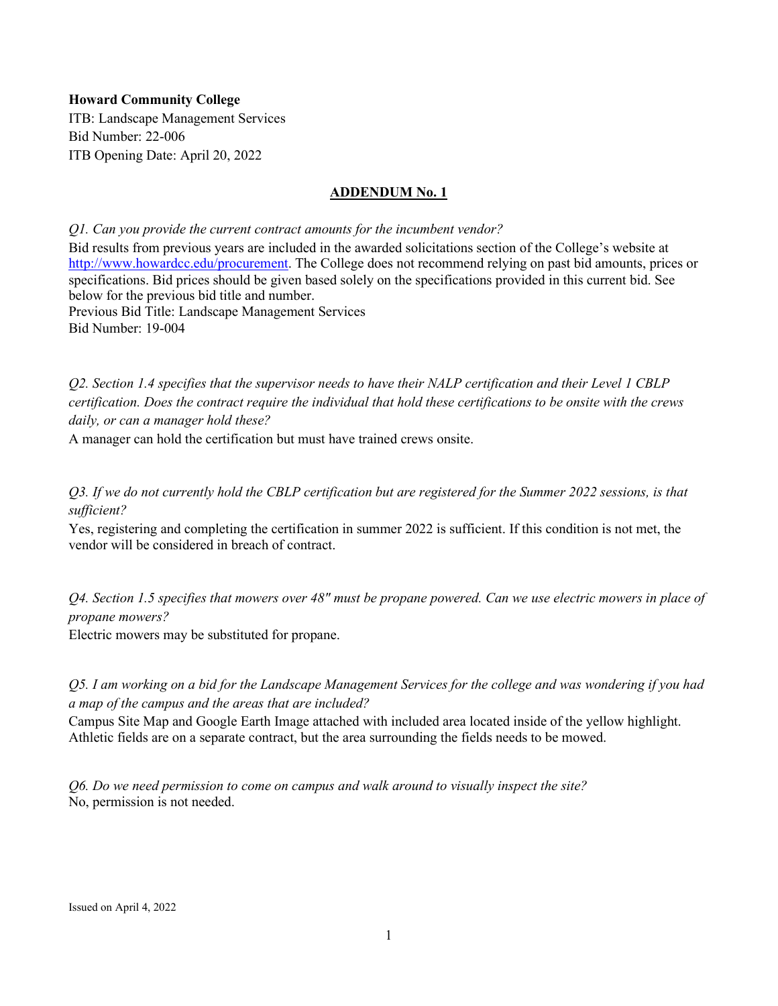## **Howard Community College**

ITB: Landscape Management Services Bid Number: 22-006 ITB Opening Date: April 20, 2022

## **ADDENDUM No. 1**

*Q1. Can you provide the current contract amounts for the incumbent vendor?* Bid results from previous years are included in the awarded solicitations section of the College's website at [http://www.howardcc.edu/procurement.](http://www.howardcc.edu/procurement) The College does not recommend relying on past bid amounts, prices or specifications. Bid prices should be given based solely on the specifications provided in this current bid. See below for the previous bid title and number. Previous Bid Title: Landscape Management Services Bid Number: 19-004

*Q2. Section 1.4 specifies that the supervisor needs to have their NALP certification and their Level 1 CBLP certification. Does the contract require the individual that hold these certifications to be onsite with the crews daily, or can a manager hold these?*

A manager can hold the certification but must have trained crews onsite.

*Q3. If we do not currently hold the CBLP certification but are registered for the Summer 2022 sessions, is that sufficient?*

Yes, registering and completing the certification in summer 2022 is sufficient. If this condition is not met, the vendor will be considered in breach of contract.

*Q4. Section 1.5 specifies that mowers over 48" must be propane powered. Can we use electric mowers in place of propane mowers?* 

Electric mowers may be substituted for propane.

*Q5. I am working on a bid for the Landscape Management Services for the college and was wondering if you had a map of the campus and the areas that are included?*

Campus Site Map and Google Earth Image attached with included area located inside of the yellow highlight. Athletic fields are on a separate contract, but the area surrounding the fields needs to be mowed.

*Q6. Do we need permission to come on campus and walk around to visually inspect the site?* No, permission is not needed.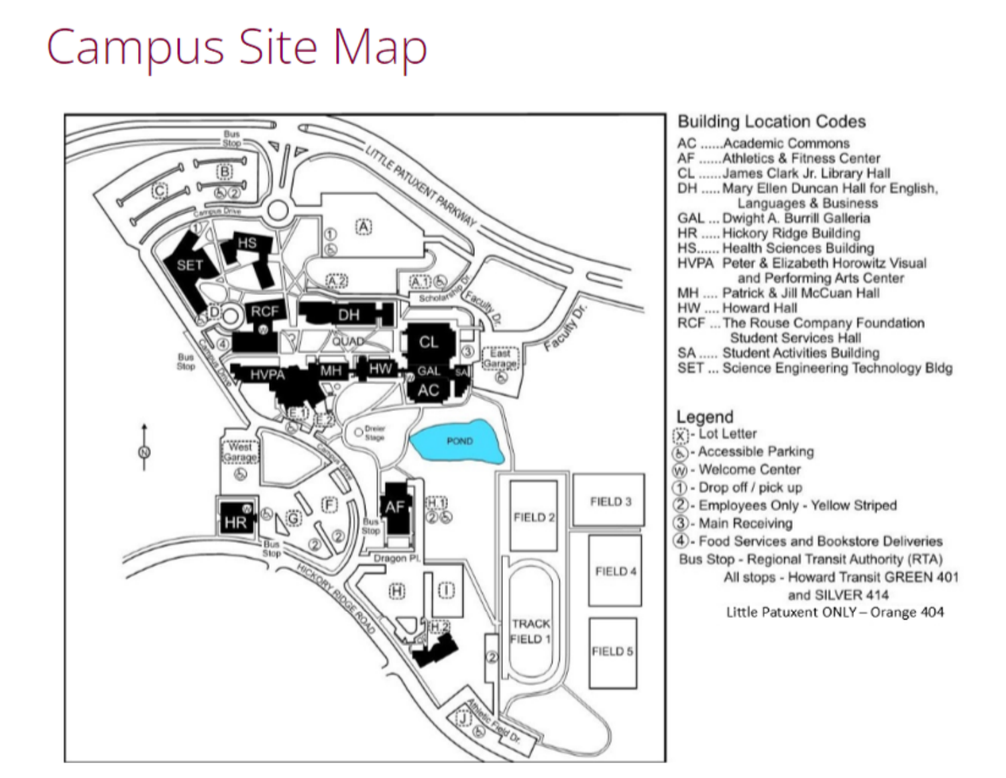## **Campus Site Map**